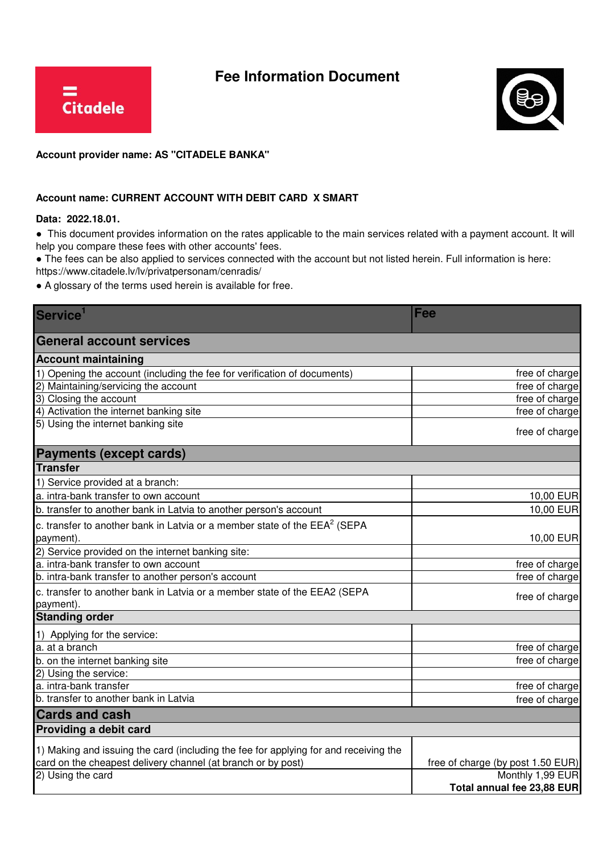**Fee Information Document**





## **Account provider name: AS "CITADELE BANKA"**

## **Account name: CURRENT ACCOUNT WITH DEBIT CARD X SMART**

## **Data: 2022.18.01.**

● This document provides information on the rates applicable to the main services related with a payment account. It will help you compare these fees with other accounts' fees.

● The fees can be also applied to services connected with the account but not listed herein. Full information is here: https://www.citadele.lv/lv/privatpersonam/cenradis/

● A glossary of the terms used herein is available for free.

| Service <sup>1</sup>                                                                   | Fee                               |
|----------------------------------------------------------------------------------------|-----------------------------------|
| <b>General account services</b>                                                        |                                   |
| <b>Account maintaining</b>                                                             |                                   |
| 1) Opening the account (including the fee for verification of documents)               | free of charge                    |
| 2) Maintaining/servicing the account                                                   | free of charge                    |
| 3) Closing the account                                                                 | free of charge                    |
| 4) Activation the internet banking site                                                | free of charge                    |
| 5) Using the internet banking site                                                     | free of charge                    |
| <b>Payments (except cards)</b>                                                         |                                   |
| <b>Transfer</b>                                                                        |                                   |
| 1) Service provided at a branch:                                                       |                                   |
| a. intra-bank transfer to own account                                                  | 10,00 EUR                         |
| b. transfer to another bank in Latvia to another person's account                      | 10,00 EUR                         |
| c. transfer to another bank in Latvia or a member state of the $EEA2$ (SEPA            |                                   |
| payment).                                                                              | 10,00 EUR                         |
| 2) Service provided on the internet banking site:                                      |                                   |
| a. intra-bank transfer to own account                                                  | free of charge                    |
| b. intra-bank transfer to another person's account                                     | free of charge                    |
| c. transfer to another bank in Latvia or a member state of the EEA2 (SEPA<br>payment). | free of charge                    |
| <b>Standing order</b>                                                                  |                                   |
| 1) Applying for the service:                                                           |                                   |
| a. at a branch                                                                         | free of charge                    |
| b. on the internet banking site                                                        | free of charge                    |
| 2) Using the service:                                                                  |                                   |
| a. intra-bank transfer                                                                 | free of charge                    |
| b. transfer to another bank in Latvia                                                  | free of charge                    |
| <b>Cards and cash</b>                                                                  |                                   |
| Providing a debit card                                                                 |                                   |
| 1) Making and issuing the card (including the fee for applying for and receiving the   |                                   |
| card on the cheapest delivery channel (at branch or by post)                           | free of charge (by post 1.50 EUR) |
| 2) Using the card                                                                      | Monthly 1,99 EUR                  |
|                                                                                        | Total annual fee 23,88 EUR        |